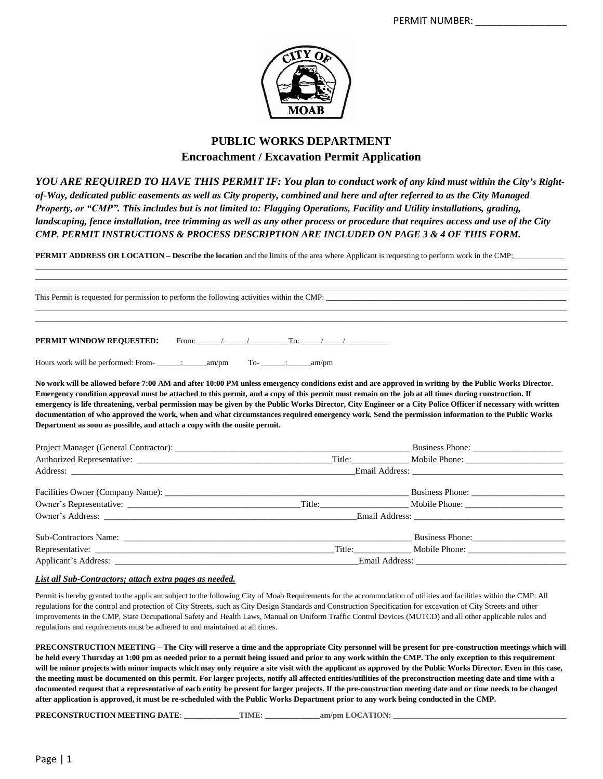

# **PUBLIC WORKS DEPARTMENT Encroachment / Excavation Permit Application**

*YOU ARE REQUIRED TO HAVE THIS PERMIT IF: You plan to conduct work of any kind must within the City's Rightof-Way, dedicated public easements as well as City property, combined and here and after referred to as the City Managed Property, or "CMP". This includes but is not limited to: Flagging Operations, Facility and Utility installations, grading, landscaping, fence installation, tree trimming as well as any other process or procedure that requires access and use of the City CMP. PERMIT INSTRUCTIONS & PROCESS DESCRIPTION ARE INCLUDED ON PAGE 3 & 4 OF THIS FORM.*

\_\_\_\_\_\_\_\_\_\_\_\_\_\_\_\_\_\_\_\_\_\_\_\_\_\_\_\_\_\_\_\_\_\_\_\_\_\_\_\_\_\_\_\_\_\_\_\_\_\_\_\_\_\_\_\_\_\_\_\_\_\_\_\_\_\_\_\_\_\_\_\_\_\_\_\_\_\_\_\_\_\_\_\_\_\_\_\_\_\_\_\_\_\_\_\_\_\_\_\_\_\_\_\_\_\_\_\_\_\_\_\_\_\_\_\_\_\_\_\_\_\_\_\_\_\_\_\_\_\_\_\_\_\_\_

**PERMIT ADDRESS OR LOCATION – Describe the location and the limits of the area where Applicant is requesting to perform work in the CMP:** 

| This Permit is requested for permission to perform the following activities within the CMP:                                                                                                                                                                                                                                                                                                                                                                                                                                                                                                                                                                                                                   |  |                 |  |
|---------------------------------------------------------------------------------------------------------------------------------------------------------------------------------------------------------------------------------------------------------------------------------------------------------------------------------------------------------------------------------------------------------------------------------------------------------------------------------------------------------------------------------------------------------------------------------------------------------------------------------------------------------------------------------------------------------------|--|-----------------|--|
| <b>PERMIT WINDOW REQUESTED:</b> From: / / / To: / / /                                                                                                                                                                                                                                                                                                                                                                                                                                                                                                                                                                                                                                                         |  |                 |  |
|                                                                                                                                                                                                                                                                                                                                                                                                                                                                                                                                                                                                                                                                                                               |  |                 |  |
| No work will be allowed before 7:00 AM and after 10:00 PM unless emergency conditions exist and are approved in writing by the Public Works Director.<br>Emergency condition approval must be attached to this permit, and a copy of this permit must remain on the job at all times during construction. If<br>emergency is life threatening, verbal permission may be given by the Public Works Director, City Engineer or a City Police Officer if necessary with written<br>documentation of who approved the work, when and what circumstances required emergency work. Send the permission information to the Public Works<br>Department as soon as possible, and attach a copy with the onsite permit. |  |                 |  |
|                                                                                                                                                                                                                                                                                                                                                                                                                                                                                                                                                                                                                                                                                                               |  |                 |  |
|                                                                                                                                                                                                                                                                                                                                                                                                                                                                                                                                                                                                                                                                                                               |  |                 |  |
|                                                                                                                                                                                                                                                                                                                                                                                                                                                                                                                                                                                                                                                                                                               |  |                 |  |
|                                                                                                                                                                                                                                                                                                                                                                                                                                                                                                                                                                                                                                                                                                               |  |                 |  |
|                                                                                                                                                                                                                                                                                                                                                                                                                                                                                                                                                                                                                                                                                                               |  |                 |  |
|                                                                                                                                                                                                                                                                                                                                                                                                                                                                                                                                                                                                                                                                                                               |  |                 |  |
| Sub-Contractors Name:                                                                                                                                                                                                                                                                                                                                                                                                                                                                                                                                                                                                                                                                                         |  | Business Phone: |  |

| Applicant:<br>dress<br>Address: | Email<br>Address. |
|---------------------------------|-------------------|
|                                 |                   |
|                                 |                   |

# *List all Sub-Contractors; attach extra pages as needed.*

Permit is hereby granted to the applicant subject to the following City of Moab Requirements for the accommodation of utilities and facilities within the CMP: All regulations for the control and protection of City Streets, such as City Design Standards and Construction Specification for excavation of City Streets and other improvements in the CMP, State Occupational Safety and Health Laws, Manual on Uniform Traffic Control Devices (MUTCD) and all other applicable rules and regulations and requirements must be adhered to and maintained at all times.

Representative: \_\_\_\_\_\_\_\_\_\_\_\_\_\_\_\_\_\_\_\_\_\_\_\_\_\_\_\_\_\_\_\_\_\_\_\_\_\_\_\_\_\_\_\_\_\_\_\_\_\_\_\_\_\_Title:\_\_\_\_\_\_\_\_\_\_\_\_\_ Mobile Phone: \_\_\_\_\_\_\_\_\_\_\_\_\_\_\_\_\_\_\_\_\_\_

**PRECONSTRUCTION MEETING – The City will reserve a time and the appropriate City personnel will be present for pre-construction meetings which will be held every Thursday at 1:00 pm as needed prior to a permit being issued and prior to any work within the CMP. The only exception to this requirement**  will be minor projects with minor impacts which may only require a site visit with the applicant as approved by the Public Works Director. Even in this case, **the meeting must be documented on this permit. For larger projects, notify all affected entities/utilities of the preconstruction meeting date and time with a documented request that a representative of each entity be present for larger projects. If the pre-construction meeting date and or time needs to be changed after application is approved, it must be re-scheduled with the Public Works Department prior to any work being conducted in the CMP.**

**PRECONSTRUCTION MEETING DATE: \_\_\_\_\_\_\_\_\_\_\_\_\_\_TIME: \_\_\_\_\_\_\_\_\_\_\_\_\_\_am/pm LOCATION:** \_\_\_\_\_\_\_\_\_\_\_\_\_\_\_\_\_\_\_\_\_\_\_\_\_\_\_\_\_\_\_\_\_\_\_\_\_\_\_\_\_\_\_\_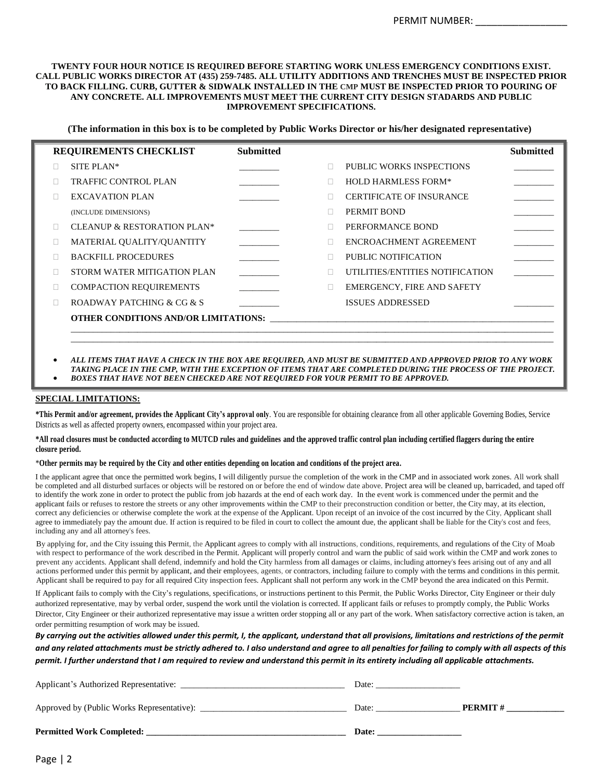#### **TWENTY FOUR HOUR NOTICE IS REQUIRED BEFORE STARTING WORK UNLESS EMERGENCY CONDITIONS EXIST. CALL PUBLIC WORKS DIRECTOR AT (435) 259-7485. ALL UTILITY ADDITIONS AND TRENCHES MUST BE INSPECTED PRIOR TO BACK FILLING. CURB, GUTTER & SIDWALK INSTALLED IN THE CMP MUST BE INSPECTED PRIOR TO POURING OF ANY CONCRETE. ALL IMPROVEMENTS MUST MEET THE CURRENT CITY DESIGN STADARDS AND PUBLIC IMPROVEMENT SPECIFICATIONS.**

**(The information in this box is to be completed by Public Works Director or his/her designated representative)**

|              | <b>REQUIREMENTS CHECKLIST</b>          | <b>Submitted</b> |   |                                   | <b>Submitted</b>                                                                                                      |
|--------------|----------------------------------------|------------------|---|-----------------------------------|-----------------------------------------------------------------------------------------------------------------------|
|              | SITE PLAN <sup>*</sup>                 |                  | п | <b>PUBLIC WORKS INSPECTIONS</b>   |                                                                                                                       |
|              | <b>TRAFFIC CONTROL PLAN</b>            |                  |   | <b>HOLD HARMLESS FORM*</b>        |                                                                                                                       |
|              | <b>EXCAVATION PLAN</b>                 |                  |   | <b>CERTIFICATE OF INSURANCE</b>   | $\mathcal{L}^{\mathcal{L}}(\mathcal{L}^{\mathcal{L}})$ , where $\mathcal{L}^{\mathcal{L}}(\mathcal{L}^{\mathcal{L}})$ |
|              | (INCLUDE DIMENSIONS)                   |                  |   | PERMIT BOND                       |                                                                                                                       |
|              | <b>CLEANUP &amp; RESTORATION PLAN*</b> |                  |   | PERFORMANCE BOND                  |                                                                                                                       |
|              | MATERIAL QUALITY/QUANTITY              |                  |   | ENCROACHMENT AGREEMENT            |                                                                                                                       |
|              | <b>BACKFILL PROCEDURES</b>             |                  |   | PUBLIC NOTIFICATION               |                                                                                                                       |
|              | STORM WATER MITIGATION PLAN            |                  |   | UTILITIES/ENTITIES NOTIFICATION   |                                                                                                                       |
| $\mathbf{L}$ | <b>COMPACTION REQUIREMENTS</b>         |                  | П | <b>EMERGENCY, FIRE AND SAFETY</b> |                                                                                                                       |
|              | ROADWAY PATCHING & CG & S              |                  |   | <b>ISSUES ADDRESSED</b>           |                                                                                                                       |
|              |                                        |                  |   |                                   |                                                                                                                       |
|              |                                        |                  |   |                                   |                                                                                                                       |

 *ALL ITEMS THAT HAVE A CHECK IN THE BOX ARE REQUIRED, AND MUST BE SUBMITTED AND APPROVED PRIOR TO ANY WORK TAKING PLACE IN THE CMP, WITH THE EXCEPTION OF ITEMS THAT ARE COMPLETED DURING THE PROCESS OF THE PROJECT. BOXES THAT HAVE NOT BEEN CHECKED ARE NOT REQUIRED FOR YOUR PERMIT TO BE APPROVED.*

#### **SPECIAL LIMITATIONS:**

**\*This Permit and/or agreement, provides the Applicant City's approval only**. You are responsible for obtaining clearance from all other applicable Governing Bodies, Service Districts as well as affected property owners, encompassed within your project area.

#### **\*All road closures must be conducted according to MUTCD rules and guidelines and the approved traffic control plan including certified flaggers during the entire closure period.**

#### \***Other permits may be required by the City and other entities depending on location and conditions of the project area.**

I the applicant agree that once the permitted work begins, I will diligently pursue the completion of the work in the CMP and in associated work zones. All work shall be completed and all disturbed surfaces or objects will be restored on or before the end of window date above. Project area will be cleaned up, barricaded, and taped off to identify the work zone in order to protect the public from job hazards at the end of each work day. In the event work is commenced under the permit and the applicant fails or refuses to restore the streets or any other improvements within the CMP to their preconstruction condition or better, the City may, at its election, correct any deficiencies or otherwise complete the work at the expense of the Applicant. Upon receipt of an invoice of the cost incurred by the City, Applicant shall agree to immediately pay the amount due. If action is required to be filed in court to collect the amount due, the applicant shall be liable for the City's cost and fees, including any and all attorney's fees.

By applying for, and the City issuing this Permit, the Applicant agrees to comply with all instructions, conditions, requirements, and regulations of the City of Moab with respect to performance of the work described in the Permit. Applicant will properly control and warn the public of said work within the CMP and work zones to prevent any accidents. Applicant shall defend, indemnify and hold the City harmless from all damages or claims, including attorney's fees arising out of any and all actions performed under this permit by applicant, and their employees, agents, or contractors, including failure to comply with the terms and conditions in this permit. Applicant shall be required to pay for all required City inspection fees. Applicant shall not perform any work in the CMP beyond the area indicated on this Permit.

If Applicant fails to comply with the City's regulations, specifications, or instructions pertinent to this Permit, the Public Works Director, City Engineer or their duly authorized representative, may by verbal order, suspend the work until the violation is corrected. If applicant fails or refuses to promptly comply, the Public Works Director, City Engineer or their authorized representative may issue a written order stopping all or any part of the work. When satisfactory corrective action is taken, an order permitting resumption of work may be issued.

*By carrying out the activities allowed under this permit, I, the applicant, understand that all provisions, limitations and restrictions of the permit and any related attachments must be strictly adhered to. I also understand and agree to all penalties for failing to comply with all aspects of this permit. I further understand that I am required to review and understand this permit in its entirety including all applicable attachments.*

| Applicant's Authorized Representative:     | Date: |                |
|--------------------------------------------|-------|----------------|
| Approved by (Public Works Representative): | Date: | <b>PERMIT#</b> |
| <b>Permitted Work Completed:</b>           | Date: |                |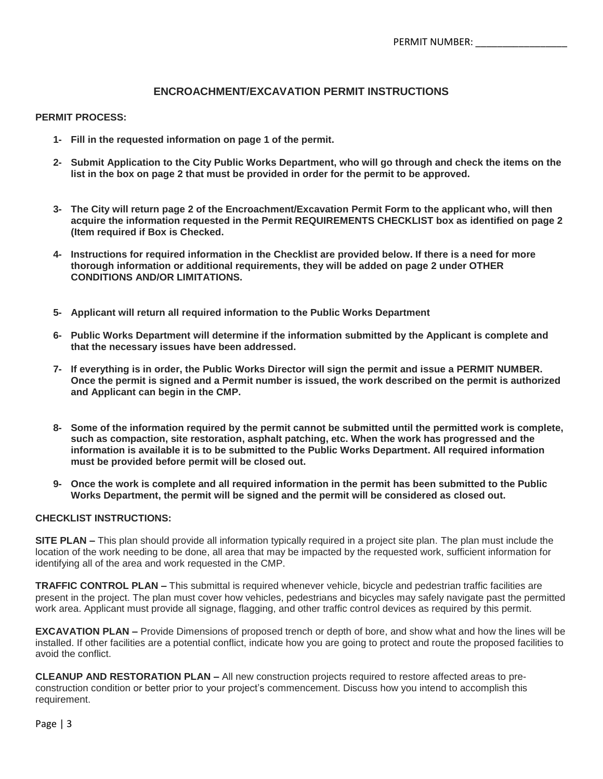# **ENCROACHMENT/EXCAVATION PERMIT INSTRUCTIONS**

# **PERMIT PROCESS:**

- **1- Fill in the requested information on page 1 of the permit.**
- **2- Submit Application to the City Public Works Department, who will go through and check the items on the list in the box on page 2 that must be provided in order for the permit to be approved.**
- **3- The City will return page 2 of the Encroachment/Excavation Permit Form to the applicant who, will then acquire the information requested in the Permit REQUIREMENTS CHECKLIST box as identified on page 2 (Item required if Box is Checked.**
- **4- Instructions for required information in the Checklist are provided below. If there is a need for more thorough information or additional requirements, they will be added on page 2 under OTHER CONDITIONS AND/OR LIMITATIONS.**
- **5- Applicant will return all required information to the Public Works Department**
- **6- Public Works Department will determine if the information submitted by the Applicant is complete and that the necessary issues have been addressed.**
- **7- If everything is in order, the Public Works Director will sign the permit and issue a PERMIT NUMBER. Once the permit is signed and a Permit number is issued, the work described on the permit is authorized and Applicant can begin in the CMP.**
- **8- Some of the information required by the permit cannot be submitted until the permitted work is complete, such as compaction, site restoration, asphalt patching, etc. When the work has progressed and the information is available it is to be submitted to the Public Works Department. All required information must be provided before permit will be closed out.**
- **9- Once the work is complete and all required information in the permit has been submitted to the Public Works Department, the permit will be signed and the permit will be considered as closed out.**

## **CHECKLIST INSTRUCTIONS:**

**SITE PLAN –** This plan should provide all information typically required in a project site plan. The plan must include the location of the work needing to be done, all area that may be impacted by the requested work, sufficient information for identifying all of the area and work requested in the CMP.

**TRAFFIC CONTROL PLAN –** This submittal is required whenever vehicle, bicycle and pedestrian traffic facilities are present in the project. The plan must cover how vehicles, pedestrians and bicycles may safely navigate past the permitted work area. Applicant must provide all signage, flagging, and other traffic control devices as required by this permit.

**EXCAVATION PLAN –** Provide Dimensions of proposed trench or depth of bore, and show what and how the lines will be installed. If other facilities are a potential conflict, indicate how you are going to protect and route the proposed facilities to avoid the conflict.

**CLEANUP AND RESTORATION PLAN –** All new construction projects required to restore affected areas to preconstruction condition or better prior to your project's commencement. Discuss how you intend to accomplish this requirement.

Page | 3